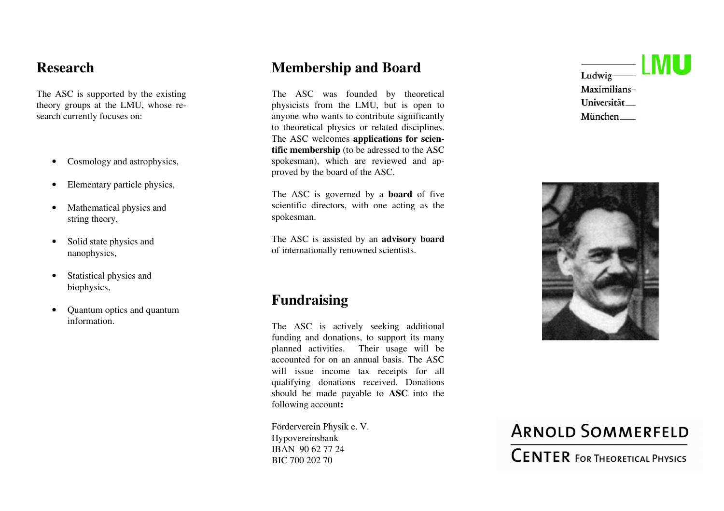### **Research**

The ASC is supported by the existing theory groups at the LMU, whose research currently focuses on:

- Cosmology and astrophysics,
- Elementary particle physics,
- Mathematical physics and string theory,
- Solid state physics and nanophysics,
- Statistical physics and biophysics,
- Quantum optics and quantum information.

### **Membership and Board**

The ASC was founded by theoretical physicists from the LMU, but is open to anyone who wants to contribute significantly to theoretical physics or related disciplines. The ASC welcomes **applications for scientific membership** (to be adressed to the ASC spokesman), which are reviewed and approved by the board of the ASC.

The ASC is governed by a **board** of five scientific directors, with one acting as the spokesman.

The ASC is assisted by an **advisory board**  of internationally renowned scientists.

### **Fundraising**

The ASC is actively seeking additional funding and donations, to support its many planned activities. Their usage will be accounted for on an annual basis. The ASC will issue income tax receipts for all qualifying donations received. Donations should be made payable to **ASC** into the following account**:** 

Förderverein Physik e. V. Hypovereinsbank IBAN 90 62 77 24 BIC 700 202 70





# **ARNOLD SOMMERFELD CENTER FOR THEORETICAL PHYSICS**